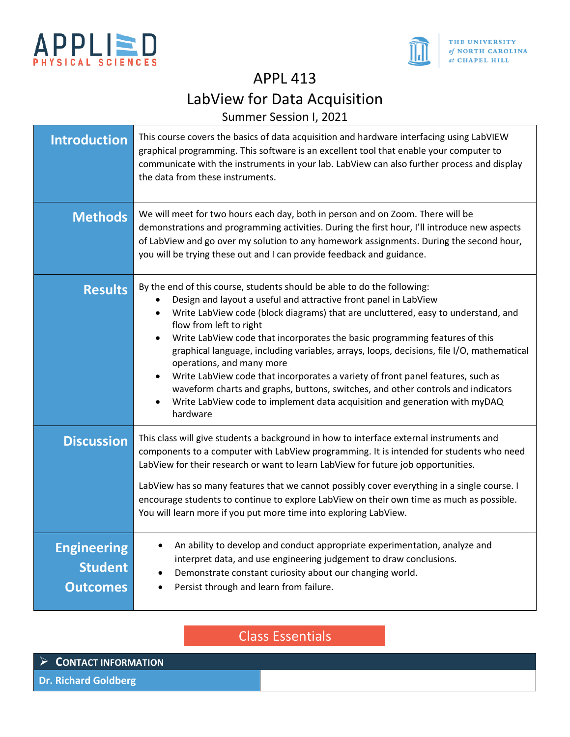



APPL 413

# LabView for Data Acquisition

Summer Session I, 2021

| <b>Introduction</b>                                     | This course covers the basics of data acquisition and hardware interfacing using LabVIEW<br>graphical programming. This software is an excellent tool that enable your computer to<br>communicate with the instruments in your lab. LabView can also further process and display<br>the data from these instruments.                                                                                                                                                                                                                                                                                                                                                                                                                  |
|---------------------------------------------------------|---------------------------------------------------------------------------------------------------------------------------------------------------------------------------------------------------------------------------------------------------------------------------------------------------------------------------------------------------------------------------------------------------------------------------------------------------------------------------------------------------------------------------------------------------------------------------------------------------------------------------------------------------------------------------------------------------------------------------------------|
| <b>Methods</b>                                          | We will meet for two hours each day, both in person and on Zoom. There will be<br>demonstrations and programming activities. During the first hour, I'll introduce new aspects<br>of LabView and go over my solution to any homework assignments. During the second hour,<br>you will be trying these out and I can provide feedback and guidance.                                                                                                                                                                                                                                                                                                                                                                                    |
| <b>Results</b>                                          | By the end of this course, students should be able to do the following:<br>Design and layout a useful and attractive front panel in LabView<br>Write LabView code (block diagrams) that are uncluttered, easy to understand, and<br>flow from left to right<br>Write LabView code that incorporates the basic programming features of this<br>graphical language, including variables, arrays, loops, decisions, file I/O, mathematical<br>operations, and many more<br>Write LabView code that incorporates a variety of front panel features, such as<br>waveform charts and graphs, buttons, switches, and other controls and indicators<br>Write LabView code to implement data acquisition and generation with myDAQ<br>hardware |
| <b>Discussion</b>                                       | This class will give students a background in how to interface external instruments and<br>components to a computer with LabView programming. It is intended for students who need<br>LabView for their research or want to learn LabView for future job opportunities.<br>LabView has so many features that we cannot possibly cover everything in a single course. I<br>encourage students to continue to explore LabView on their own time as much as possible.<br>You will learn more if you put more time into exploring LabView.                                                                                                                                                                                                |
| <b>Engineering</b><br><b>Student</b><br><b>Outcomes</b> | An ability to develop and conduct appropriate experimentation, analyze and<br>interpret data, and use engineering judgement to draw conclusions.<br>Demonstrate constant curiosity about our changing world.<br>Persist through and learn from failure.                                                                                                                                                                                                                                                                                                                                                                                                                                                                               |

Class Essentials

| $\triangleright$ CONTACT INFORMATION |  |
|--------------------------------------|--|
| <b>Dr. Richard Goldberg</b>          |  |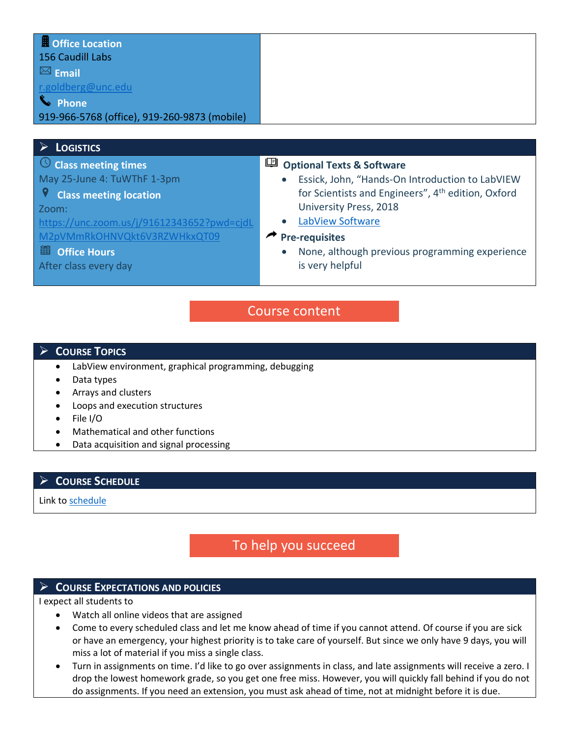| <b>U</b> Office Location                     |
|----------------------------------------------|
| 156 Caudill Labs                             |
| $\boxtimes$ Email                            |
| r.goldberg@unc.edu                           |
| <b>S</b> Phone                               |
| 919-966-5768 (office), 919-260-9873 (mobile) |

#### ➢ **LOGISTICS**

**Class meeting times** May 25-June 4: TuWThF 1-3pm

#### 9  **Class meeting location**

Zoom:

[https://unc.zoom.us/j/91612343652?pwd=cjdL](https://unc.zoom.us/j/91612343652?pwd=cjdLM2pVMmRkOHNVQkt6V3RZWHkxQT09) [M2pVMmRkOHNVQkt6V3RZWHkxQT09](https://unc.zoom.us/j/91612343652?pwd=cjdLM2pVMmRkOHNVQkt6V3RZWHkxQT09)

#### **EDE** Office Hours

After class every day

### **<sup>1</sup>** Optional Texts & Software

- Essick, John, "Hands-On Introduction to LabVIEW for Scientists and Engineers", 4<sup>th</sup> edition, Oxford University Press, 2018
- [LabView Software](https://www.ni.com/en-us/support/downloads/software-products/download.labview-student-software-suite.html#352831)

#### **Pre-requisites**

• None, although previous programming experience is very helpful

# Course content

#### ➢ **COURSE TOPICS**

- LabView environment, graphical programming, debugging
- Data types
- Arrays and clusters
- Loops and execution structures
- File I/O
- Mathematical and other functions
- Data acquisition and signal processing

#### ➢ **COURSE SCHEDULE**

Link t[o schedule](https://adminliveunc-my.sharepoint.com/:w:/g/personal/rgoldber_ad_unc_edu/EefPy5zKpOxBkxAgj_j_0kUBxDEpEjj45NpMx59kK0BM2Q?e=2FcHyX)

# To help you succeed

#### ➢ **COURSE EXPECTATIONS AND POLICIES**

I expect all students to

- Watch all online videos that are assigned
- Come to every scheduled class and let me know ahead of time if you cannot attend. Of course if you are sick or have an emergency, your highest priority is to take care of yourself. But since we only have 9 days, you will miss a lot of material if you miss a single class.
- Turn in assignments on time. I'd like to go over assignments in class, and late assignments will receive a zero. I drop the lowest homework grade, so you get one free miss. However, you will quickly fall behind if you do not do assignments. If you need an extension, you must ask ahead of time, not at midnight before it is due.